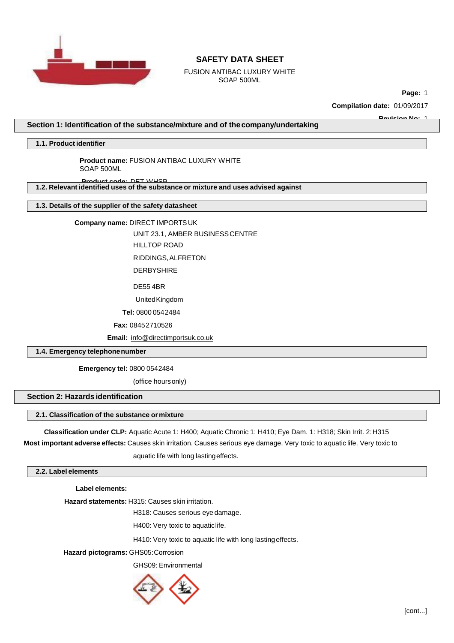

FUSION ANTIBAC LUXURY WHITE SOAP 500ML

**Page:** 1

**Compilation date:** 01/09/2017

**Revision No:** 1

**Section 1: Identification of the substance/mixture and of thecompany/undertaking**

**1.1. Product identifier**

**Product name:** FUSION ANTIBAC LUXURY WHITE SOAP 500ML

**Product code:** DET-WHSP **1.2. Relevant identified uses of the substance or mixture and uses advised against**

**1.3. Details of the supplier of the safety datasheet**

**Company name:** DIRECT IMPORTSUK

UNIT 23.1, AMBER BUSINESSCENTRE HILLTOP ROAD

RIDDINGS,ALFRETON

**DERBYSHIRE** 

DE55 4BR

UnitedKingdom

**Tel:** 0800 0542484

**Fax:** 08452710526

**Email:** [info@directimportsuk.co.uk](mailto:info@directimportsuk.co.uk)

**1.4. Emergency telephonenumber**

**Emergency tel:** 0800 0542484

(office hoursonly)

## **Section 2: Hazards identification**

## **2.1. Classification of the substance ormixture**

**Classification under CLP:** Aquatic Acute 1: H400; Aquatic Chronic 1: H410; Eye Dam. 1: H318; Skin Irrit. 2:H315

**Most important adverse effects:** Causes skin irritation. Causes serious eye damage. Very toxic to aquatic life. Very toxic to

aquatic life with long lastingeffects.

### **2.2. Label elements**

**Label elements:**

**Hazard statements:** H315: Causes skin irritation.

H318: Causes serious eye damage.

H400: Very toxic to aquaticlife.

H410: Very toxic to aquatic life with long lastingeffects.

**Hazard pictograms:** GHS05:Corrosion

GHS09: Environmental

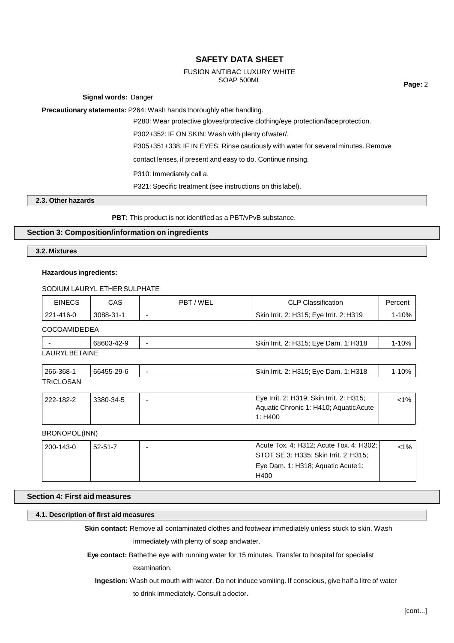#### FUSION ANTIBAC LUXURY WHITE SOAP 500ML

**Page:** 2

**Signal words:** Danger

**Precautionary statements:** P264: Wash hands thoroughly after handling.

P280: Wear protective gloves/protective clothing/eye protection/faceprotection.

P302+352: IF ON SKIN: Wash with plenty ofwater/.

P305+351+338: IF IN EYES: Rinse cautiously with water for several minutes. Remove

contact lenses, if present and easy to do. Continue rinsing.

P310: Immediately call a.

P321: Specific treatment (see instructions on this label).

# **2.3. Other hazards**

**PBT:** This product is not identified as a PBT/vPvB substance.

# **Section 3: Composition/information on ingredients**

**3.2. Mixtures**

### **Hazardous ingredients:**

SODIUM LAURYL ETHER SULPHATE

| EINECS    | CAS       | PBT/WEL | <b>CLP Classification</b>               | Percent |
|-----------|-----------|---------|-----------------------------------------|---------|
| 221-416-0 | 3088-31-1 |         | Skin Irrit. 2: H315; Eye Irrit. 2: H319 | l-10%   |
|           |           |         |                                         |         |

COCOAMIDEDEA

|                  | 3-42-9 | 1: H318<br>: Eve Dam<br>Skin<br>H315:<br>ົດ.<br>-Irrit. | 10% |
|------------------|--------|---------------------------------------------------------|-----|
| I ALIDVI DETAINE |        |                                                         |     |

LAURYLBETAINE

| 266-368-1 | 66455-29-6 | $\overline{\phantom{0}}$ | Skin Irrit. 2: H315; Eye Dam. 1: H318 | l-10% |
|-----------|------------|--------------------------|---------------------------------------|-------|
| TRICLOSAN |            |                          |                                       |       |

| 222-182-2 | 3380-34-5 | Eye Irrit. 2: H319; Skin Irrit. 2: H315; | <1% |
|-----------|-----------|------------------------------------------|-----|
|           |           | Aquatic Chronic 1: H410; Aquatic Acute   |     |
|           |           | 1: H400                                  |     |

## BRONOPOL(INN)

| 200-143-0 | $52 - 51 - 7$ | Acute Tox. 4: H312; Acute Tox. 4: H302; | $< 1\%$ |
|-----------|---------------|-----------------------------------------|---------|
|           |               | STOT SE 3: H335; Skin Irrit. 2: H315;   |         |
|           |               | Eye Dam. 1: H318; Aquatic Acute 1:      |         |
|           |               | H400                                    |         |

## **Section 4: First aid measures**

# **4.1. Description of first aid measures**

**Skin contact:** Remove all contaminated clothes and footwear immediately unless stuck to skin. Wash

immediately with plenty of soap andwater.

**Eye contact:** Bathethe eye with running water for 15 minutes. Transfer to hospital for specialist

examination.

**Ingestion:** Wash out mouth with water. Do not induce vomiting. If conscious, give half a litre of water

to drink immediately. Consult a doctor.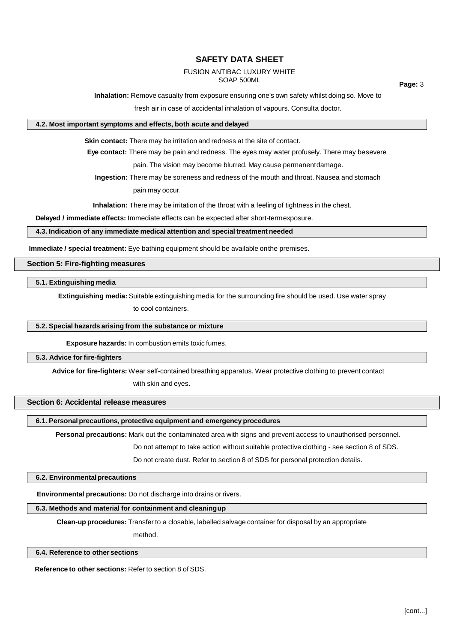# FUSION ANTIBAC LUXURY WHITE

SOAP 500ML

**Page:** 3

**Inhalation:** Remove casualty from exposure ensuring one's own safety whilst doing so. Move to

fresh air in case of accidental inhalation of vapours. Consulta doctor.

### **4.2. Most important symptoms and effects, both acute and delayed**

**Skin contact:** There may be irritation and redness at the site of contact.

**Eye contact:** There may be pain and redness. The eyes may water profusely. There may besevere

pain. The vision may become blurred. May cause permanentdamage.

**Ingestion:** There may be soreness and redness of the mouth and throat. Nausea and stomach

pain may occur.

**Inhalation:** There may be irritation of the throat with a feeling of tightness in the chest.

**Delayed / immediate effects:** Immediate effects can be expected after short-termexposure.

### **4.3. Indication of any immediate medical attention and special treatment needed**

**Immediate / special treatment:** Eye bathing equipment should be available onthe premises.

**Section 5: Fire-fighting measures**

**5.1. Extinguishing media**

**Extinguishing media:** Suitable extinguishing media for the surrounding fire should be used. Use water spray

to cool containers.

### **5.2. Special hazards arising from the substance or mixture**

**Exposure hazards:** In combustion emits toxic fumes.

### **5.3. Advice for fire-fighters**

**Advice for fire-fighters:** Wear self-contained breathing apparatus. Wear protective clothing to prevent contact

with skin and eyes.

# **Section 6: Accidental release measures**

# **6.1. Personal precautions, protective equipment and emergency procedures**

**Personal precautions:** Mark out the contaminated area with signs and prevent access to unauthorised personnel.

Do not attempt to take action without suitable protective clothing - see section 8 of SDS.

Do not create dust. Refer to section 8 of SDS for personal protection details.

### **6.2. Environmentalprecautions**

**Environmental precautions:** Do not discharge into drains or rivers.

### **6.3. Methods and material for containment and cleaningup**

**Clean-up procedures:** Transfer to a closable, labelled salvage container for disposal by an appropriate

method.

### **6.4. Reference to other sections**

**Reference to other sections:** Refer to section 8 of SDS.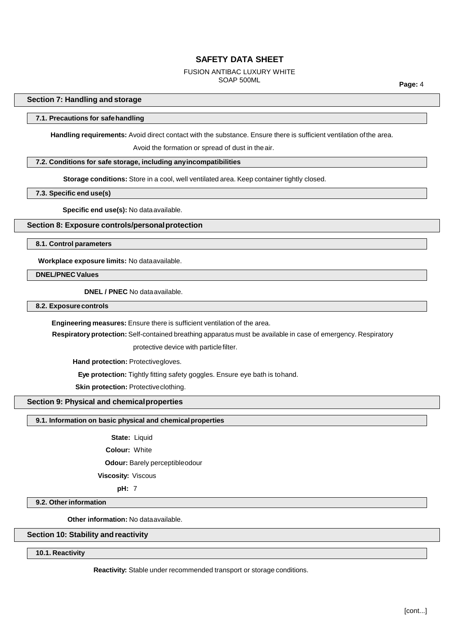#### FUSION ANTIBAC LUXURY WHITE SOAP 500ML

**Page:** 4

### **Section 7: Handling and storage**

#### **7.1. Precautions for safehandling**

**Handling requirements:** Avoid direct contact with the substance. Ensure there is sufficient ventilation ofthe area.

Avoid the formation or spread of dust in theair.

### **7.2. Conditions for safe storage, including anyincompatibilities**

**Storage conditions:** Store in a cool, well ventilated area. Keep container tightly closed.

## **7.3. Specific end use(s)**

**Specific end use(s):** No data available.

# **Section 8: Exposure controls/personalprotection**

**8.1. Control parameters**

**Workplace exposure limits:** No dataavailable.

**DNEL/PNEC Values**

**DNEL / PNEC** No dataavailable.

**8.2. Exposurecontrols**

**Engineering measures:** Ensure there is sufficient ventilation of the area.

**Respiratory protection:** Self-contained breathing apparatus must be available in case of emergency. Respiratory

protective device with particlefilter.

**Hand protection: Protectivegloves.** 

**Eye protection:** Tightly fitting safety goggles. Ensure eye bath is tohand.

**Skin protection: Protective clothing.** 

# **Section 9: Physical and chemicalproperties**

# **9.1. Information on basic physical and chemicalproperties**

State: Liquid

**Colour:** White

**Odour:** Barely perceptibleodour

**Viscosity:** Viscous

**pH:** 7

**9.2. Other information** 

**Other information:** No dataavailable.

## **Section 10: Stability andreactivity**

**10.1. Reactivity**

**Reactivity:** Stable under recommended transport or storage conditions.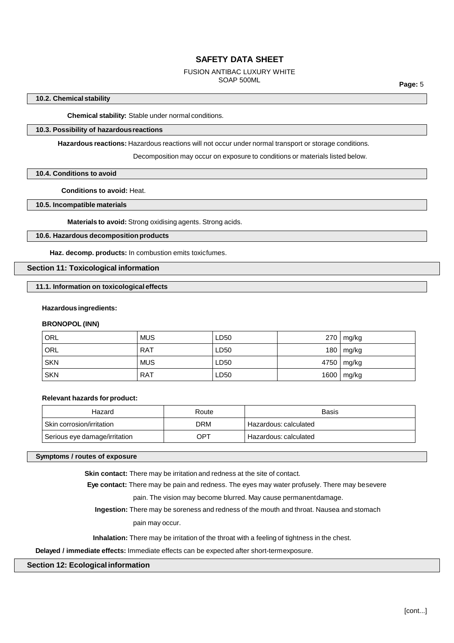#### FUSION ANTIBAC LUXURY WHITE SOAP 500ML

**Page:** 5

### **10.2. Chemical stability**

**Chemical stability:** Stable under normal conditions.

### **10.3. Possibility of hazardousreactions**

**Hazardous reactions:** Hazardous reactions will not occur under normal transport or storage conditions.

Decomposition may occur on exposure to conditions or materials listed below.

### **10.4. Conditions to avoid**

**Conditions to avoid:** Heat.

## **10.5. Incompatible materials**

**Materials to avoid:** Strong oxidising agents. Strong acids.

## **10.6. Hazardous decomposition products**

**Haz. decomp. products:** In combustion emits toxicfumes.

# **Section 11: Toxicological information**

**11.1. Information on toxicological effects**

#### **Hazardous ingredients:**

#### **BRONOPOL (INN)**

| ORL        | <b>MUS</b> | LD50 | $270 \mid mg/kg$ |
|------------|------------|------|------------------|
| ORL        | <b>RAT</b> | LD50 | $180 \mid mg/kg$ |
| <b>SKN</b> | <b>MUS</b> | LD50 | 4750   mg/kg     |
| <b>SKN</b> | <b>RAT</b> | LD50 | 1600   mg/kg     |

### **Relevant hazards forproduct:**

| Hazard                        | Route | Basis                   |
|-------------------------------|-------|-------------------------|
| Skin corrosion/irritation     | DRM   | Hazardous: calculated   |
| Serious eye damage/irritation | OPT   | ' Hazardous: calculated |

#### **Symptoms / routes of exposure**

**Skin contact:** There may be irritation and redness at the site of contact.

**Eye contact:** There may be pain and redness. The eyes may water profusely. There may besevere

pain. The vision may become blurred. May cause permanentdamage.

**Ingestion:** There may be soreness and redness of the mouth and throat. Nausea and stomach

pain may occur.

**Inhalation:** There may be irritation of the throat with a feeling of tightness in the chest.

**Delayed / immediate effects:** Immediate effects can be expected after short-termexposure.

### **Section 12: Ecologicalinformation**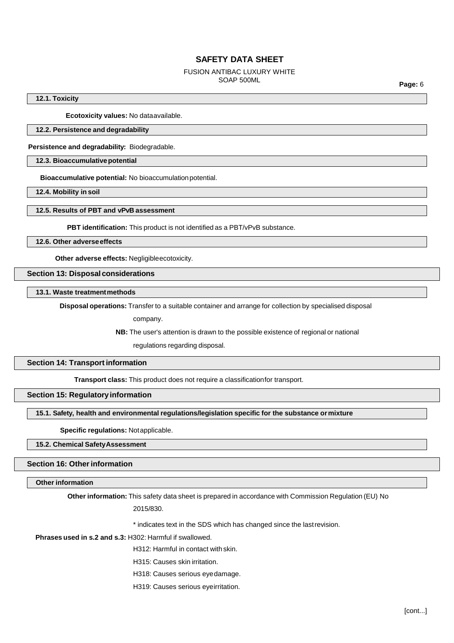#### FUSION ANTIBAC LUXURY WHITE SOAP 500ML

**Page:** 6

**12.1. Toxicity**

**Ecotoxicity values:** No dataavailable.

### **12.2. Persistence and degradability**

**Persistence and degradability:** Biodegradable.

**12.3. Bioaccumulativepotential**

**Bioaccumulative potential:** No bioaccumulationpotential.

**12.4. Mobility in soil**

### **12.5. Results of PBT and vPvB assessment**

**PBT identification:** This product is not identified as a PBT/vPvB substance.

**12.6. Other adverseeffects**

**Other adverse effects:** Negligibleecotoxicity.

#### **Section 13: Disposal considerations**

**13.1. Waste treatmentmethods**

**Disposal operations:** Transfer to a suitable container and arrange for collection by specialised disposal

company.

**NB:** The user's attention is drawn to the possible existence of regional or national

regulations regarding disposal.

# **Section 14: Transport information**

**Transport class:** This product does not require a classificationfor transport.

# **Section 15: Regulatory information**

**15.1. Safety, health and environmental regulations/legislation specific for the substance ormixture**

**Specific regulations:** Notapplicable.

# **15.2. Chemical SafetyAssessment**

# **Section 16: Other information**

**Other information**

**Other information:** This safety data sheet is prepared in accordance with Commission Regulation (EU) No

2015/830.

\* indicates text in the SDS which has changed since the lastrevision.

**Phrases used in s.2 and s.3:** H302: Harmful if swallowed.

H312: Harmful in contact with skin.

H315: Causes skin irritation.

H318: Causes serious eyedamage.

H319: Causes serious eyeirritation.